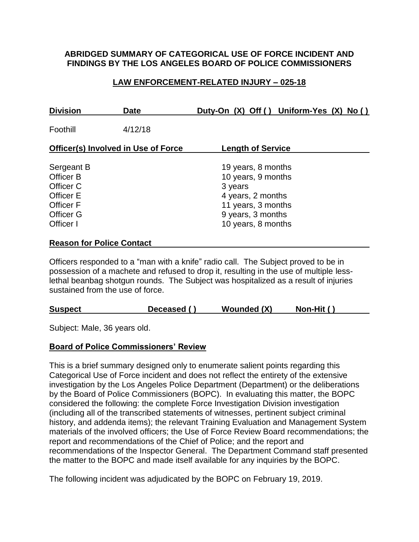## **ABRIDGED SUMMARY OF CATEGORICAL USE OF FORCE INCIDENT AND FINDINGS BY THE LOS ANGELES BOARD OF POLICE COMMISSIONERS**

# **LAW ENFORCEMENT-RELATED INJURY – 025-18**

| <b>Division</b>                                                                                               | <b>Date</b> | Duty-On (X) Off () Uniform-Yes (X) No ()                                                                                                  |  |  |
|---------------------------------------------------------------------------------------------------------------|-------------|-------------------------------------------------------------------------------------------------------------------------------------------|--|--|
| Foothill                                                                                                      | 4/12/18     |                                                                                                                                           |  |  |
| <b>Officer(s) Involved in Use of Force</b>                                                                    |             | <b>Length of Service</b>                                                                                                                  |  |  |
| Sergeant B<br>Officer B<br>Officer C<br><b>Officer E</b><br><b>Officer F</b><br><b>Officer G</b><br>Officer I |             | 19 years, 8 months<br>10 years, 9 months<br>3 years<br>4 years, 2 months<br>11 years, 3 months<br>9 years, 3 months<br>10 years, 8 months |  |  |
| <b>Reason for Police Contact</b>                                                                              |             |                                                                                                                                           |  |  |

Officers responded to a "man with a knife" radio call. The Subject proved to be in possession of a machete and refused to drop it, resulting in the use of multiple lesslethal beanbag shotgun rounds. The Subject was hospitalized as a result of injuries sustained from the use of force.

| <b>Suspect</b> | Deceased () | Wounded (X) | Non-Hit () |
|----------------|-------------|-------------|------------|
|----------------|-------------|-------------|------------|

Subject: Male, 36 years old.

## **Board of Police Commissioners' Review**

This is a brief summary designed only to enumerate salient points regarding this Categorical Use of Force incident and does not reflect the entirety of the extensive investigation by the Los Angeles Police Department (Department) or the deliberations by the Board of Police Commissioners (BOPC). In evaluating this matter, the BOPC considered the following: the complete Force Investigation Division investigation (including all of the transcribed statements of witnesses, pertinent subject criminal history, and addenda items); the relevant Training Evaluation and Management System materials of the involved officers; the Use of Force Review Board recommendations; the report and recommendations of the Chief of Police; and the report and recommendations of the Inspector General. The Department Command staff presented the matter to the BOPC and made itself available for any inquiries by the BOPC.

The following incident was adjudicated by the BOPC on February 19, 2019.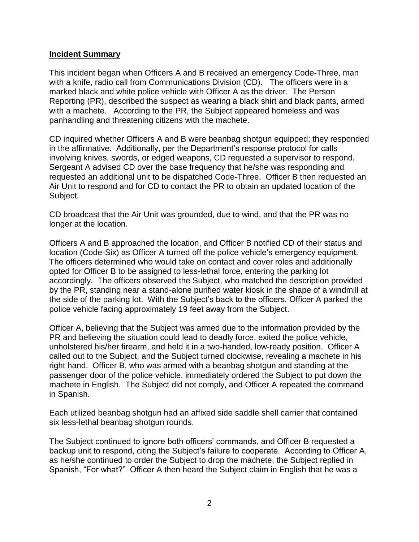#### **Incident Summary**

This incident began when Officers A and B received an emergency Code-Three, man with a knife, radio call from Communications Division (CD). The officers were in a marked black and white police vehicle with Officer A as the driver. The Person Reporting (PR), described the suspect as wearing a black shirt and black pants, armed with a machete. According to the PR, the Subject appeared homeless and was panhandling and threatening citizens with the machete.

CD inquired whether Officers A and B were beanbag shotgun equipped; they responded in the affirmative. Additionally, per the Department's response protocol for calls involving knives, swords, or edged weapons, CD requested a supervisor to respond. Sergeant A advised CD over the base frequency that he/she was responding and requested an additional unit to be dispatched Code-Three. Officer B then requested an Air Unit to respond and for CD to contact the PR to obtain an updated location of the Subject.

CD broadcast that the Air Unit was grounded, due to wind, and that the PR was no longer at the location.

Officers A and B approached the location, and Officer B notified CD of their status and location (Code-Six) as Officer A turned off the police vehicle's emergency equipment. The officers determined who would take on contact and cover roles and additionally opted for Officer B to be assigned to less-lethal force, entering the parking lot accordingly. The officers observed the Subject, who matched the description provided by the PR, standing near a stand-alone purified water kiosk in the shape of a windmill at the side of the parking lot. With the Subject's back to the officers, Officer A parked the police vehicle facing approximately 19 feet away from the Subject.

Officer A, believing that the Subject was armed due to the information provided by the PR and believing the situation could lead to deadly force, exited the police vehicle, unholstered his/her firearm, and held it in a two-handed, low-ready position. Officer A called out to the Subject, and the Subject turned clockwise, revealing a machete in his right hand. Officer B, who was armed with a beanbag shotgun and standing at the passenger door of the police vehicle, immediately ordered the Subject to put down the machete in English. The Subject did not comply, and Officer A repeated the command in Spanish.

Each utilized beanbag shotgun had an affixed side saddle shell carrier that contained six less-lethal beanbag shotgun rounds.

The Subject continued to ignore both officers' commands, and Officer B requested a backup unit to respond, citing the Subject's failure to cooperate. According to Officer A, as he/she continued to order the Subject to drop the machete, the Subject replied in Spanish, "For what?" Officer A then heard the Subject claim in English that he was a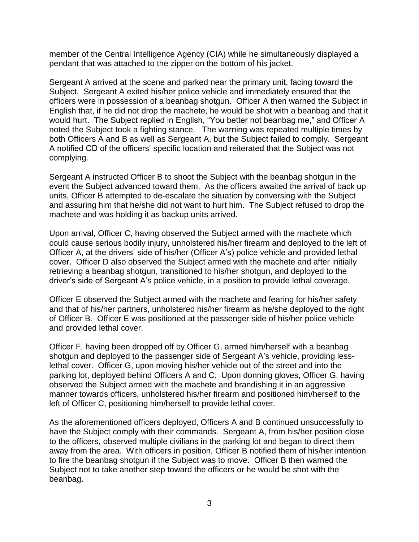member of the Central Intelligence Agency (CIA) while he simultaneously displayed a pendant that was attached to the zipper on the bottom of his jacket.

Sergeant A arrived at the scene and parked near the primary unit, facing toward the Subject. Sergeant A exited his/her police vehicle and immediately ensured that the officers were in possession of a beanbag shotgun. Officer A then warned the Subject in English that, if he did not drop the machete, he would be shot with a beanbag and that it would hurt. The Subject replied in English, "You better not beanbag me," and Officer A noted the Subject took a fighting stance. The warning was repeated multiple times by both Officers A and B as well as Sergeant A, but the Subject failed to comply. Sergeant A notified CD of the officers' specific location and reiterated that the Subject was not complying.

Sergeant A instructed Officer B to shoot the Subject with the beanbag shotgun in the event the Subject advanced toward them. As the officers awaited the arrival of back up units, Officer B attempted to de-escalate the situation by conversing with the Subject and assuring him that he/she did not want to hurt him. The Subject refused to drop the machete and was holding it as backup units arrived.

Upon arrival, Officer C, having observed the Subject armed with the machete which could cause serious bodily injury, unholstered his/her firearm and deployed to the left of Officer A, at the drivers' side of his/her (Officer A's) police vehicle and provided lethal cover. Officer D also observed the Subject armed with the machete and after initially retrieving a beanbag shotgun, transitioned to his/her shotgun, and deployed to the driver's side of Sergeant A's police vehicle, in a position to provide lethal coverage.

Officer E observed the Subject armed with the machete and fearing for his/her safety and that of his/her partners, unholstered his/her firearm as he/she deployed to the right of Officer B. Officer E was positioned at the passenger side of his/her police vehicle and provided lethal cover.

Officer F, having been dropped off by Officer G, armed him/herself with a beanbag shotgun and deployed to the passenger side of Sergeant A's vehicle, providing lesslethal cover. Officer G, upon moving his/her vehicle out of the street and into the parking lot, deployed behind Officers A and C. Upon donning gloves, Officer G, having observed the Subject armed with the machete and brandishing it in an aggressive manner towards officers, unholstered his/her firearm and positioned him/herself to the left of Officer C, positioning him/herself to provide lethal cover.

As the aforementioned officers deployed, Officers A and B continued unsuccessfully to have the Subject comply with their commands. Sergeant A, from his/her position close to the officers, observed multiple civilians in the parking lot and began to direct them away from the area. With officers in position, Officer B notified them of his/her intention to fire the beanbag shotgun if the Subject was to move. Officer B then warned the Subject not to take another step toward the officers or he would be shot with the beanbag.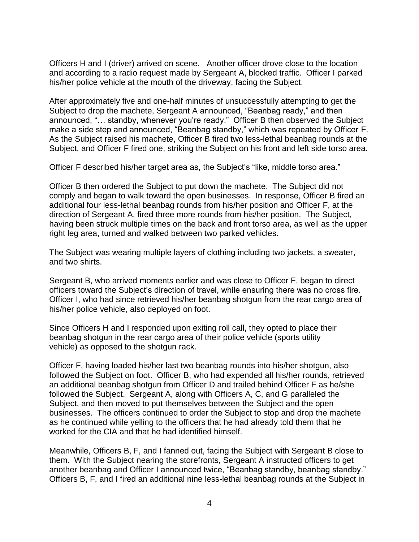Officers H and I (driver) arrived on scene. Another officer drove close to the location and according to a radio request made by Sergeant A, blocked traffic. Officer I parked his/her police vehicle at the mouth of the driveway, facing the Subject.

After approximately five and one-half minutes of unsuccessfully attempting to get the Subject to drop the machete, Sergeant A announced, "Beanbag ready," and then announced, "… standby, whenever you're ready." Officer B then observed the Subject make a side step and announced, "Beanbag standby," which was repeated by Officer F. As the Subject raised his machete, Officer B fired two less-lethal beanbag rounds at the Subject, and Officer F fired one, striking the Subject on his front and left side torso area.

Officer F described his/her target area as, the Subject's "like, middle torso area."

Officer B then ordered the Subject to put down the machete. The Subject did not comply and began to walk toward the open businesses. In response, Officer B fired an additional four less-lethal beanbag rounds from his/her position and Officer F, at the direction of Sergeant A, fired three more rounds from his/her position. The Subject, having been struck multiple times on the back and front torso area, as well as the upper right leg area, turned and walked between two parked vehicles.

The Subject was wearing multiple layers of clothing including two jackets, a sweater, and two shirts.

Sergeant B, who arrived moments earlier and was close to Officer F, began to direct officers toward the Subject's direction of travel, while ensuring there was no cross fire. Officer I, who had since retrieved his/her beanbag shotgun from the rear cargo area of his/her police vehicle, also deployed on foot.

Since Officers H and I responded upon exiting roll call, they opted to place their beanbag shotgun in the rear cargo area of their police vehicle (sports utility vehicle) as opposed to the shotgun rack.

Officer F, having loaded his/her last two beanbag rounds into his/her shotgun, also followed the Subject on foot. Officer B, who had expended all his/her rounds, retrieved an additional beanbag shotgun from Officer D and trailed behind Officer F as he/she followed the Subject. Sergeant A, along with Officers A, C, and G paralleled the Subject, and then moved to put themselves between the Subject and the open businesses. The officers continued to order the Subject to stop and drop the machete as he continued while yelling to the officers that he had already told them that he worked for the CIA and that he had identified himself.

Meanwhile, Officers B, F, and I fanned out, facing the Subject with Sergeant B close to them. With the Subject nearing the storefronts, Sergeant A instructed officers to get another beanbag and Officer I announced twice, "Beanbag standby, beanbag standby." Officers B, F, and I fired an additional nine less-lethal beanbag rounds at the Subject in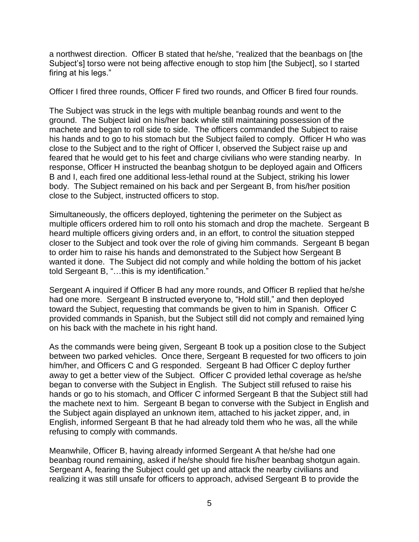a northwest direction. Officer B stated that he/she, "realized that the beanbags on [the Subject's] torso were not being affective enough to stop him [the Subject], so I started firing at his legs."

Officer I fired three rounds, Officer F fired two rounds, and Officer B fired four rounds.

The Subject was struck in the legs with multiple beanbag rounds and went to the ground. The Subject laid on his/her back while still maintaining possession of the machete and began to roll side to side. The officers commanded the Subject to raise his hands and to go to his stomach but the Subject failed to comply. Officer H who was close to the Subject and to the right of Officer I, observed the Subject raise up and feared that he would get to his feet and charge civilians who were standing nearby. In response, Officer H instructed the beanbag shotgun to be deployed again and Officers B and I, each fired one additional less-lethal round at the Subject, striking his lower body. The Subject remained on his back and per Sergeant B, from his/her position close to the Subject, instructed officers to stop.

Simultaneously, the officers deployed, tightening the perimeter on the Subject as multiple officers ordered him to roll onto his stomach and drop the machete. Sergeant B heard multiple officers giving orders and, in an effort, to control the situation stepped closer to the Subject and took over the role of giving him commands. Sergeant B began to order him to raise his hands and demonstrated to the Subject how Sergeant B wanted it done. The Subject did not comply and while holding the bottom of his jacket told Sergeant B, "…this is my identification."

Sergeant A inquired if Officer B had any more rounds, and Officer B replied that he/she had one more. Sergeant B instructed everyone to, "Hold still," and then deployed toward the Subject, requesting that commands be given to him in Spanish. Officer C provided commands in Spanish, but the Subject still did not comply and remained lying on his back with the machete in his right hand.

As the commands were being given, Sergeant B took up a position close to the Subject between two parked vehicles. Once there, Sergeant B requested for two officers to join him/her, and Officers C and G responded. Sergeant B had Officer C deploy further away to get a better view of the Subject. Officer C provided lethal coverage as he/she began to converse with the Subject in English. The Subject still refused to raise his hands or go to his stomach, and Officer C informed Sergeant B that the Subject still had the machete next to him. Sergeant B began to converse with the Subject in English and the Subject again displayed an unknown item, attached to his jacket zipper, and, in English, informed Sergeant B that he had already told them who he was, all the while refusing to comply with commands.

Meanwhile, Officer B, having already informed Sergeant A that he/she had one beanbag round remaining, asked if he/she should fire his/her beanbag shotgun again. Sergeant A, fearing the Subject could get up and attack the nearby civilians and realizing it was still unsafe for officers to approach, advised Sergeant B to provide the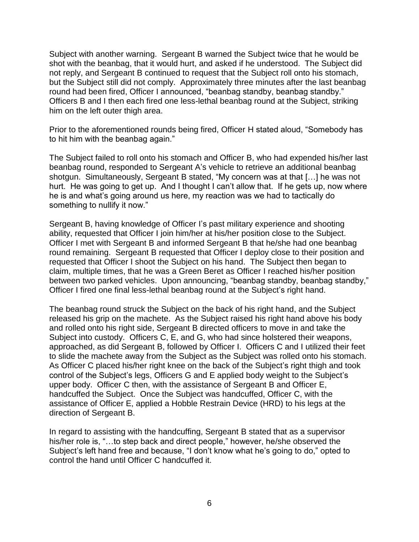Subject with another warning. Sergeant B warned the Subject twice that he would be shot with the beanbag, that it would hurt, and asked if he understood. The Subject did not reply, and Sergeant B continued to request that the Subject roll onto his stomach, but the Subject still did not comply. Approximately three minutes after the last beanbag round had been fired, Officer I announced, "beanbag standby, beanbag standby." Officers B and I then each fired one less-lethal beanbag round at the Subject, striking him on the left outer thigh area.

Prior to the aforementioned rounds being fired, Officer H stated aloud, "Somebody has to hit him with the beanbag again."

The Subject failed to roll onto his stomach and Officer B, who had expended his/her last beanbag round, responded to Sergeant A's vehicle to retrieve an additional beanbag shotgun. Simultaneously, Sergeant B stated, "My concern was at that […] he was not hurt. He was going to get up. And I thought I can't allow that. If he gets up, now where he is and what's going around us here, my reaction was we had to tactically do something to nullify it now."

Sergeant B, having knowledge of Officer I's past military experience and shooting ability, requested that Officer I join him/her at his/her position close to the Subject. Officer I met with Sergeant B and informed Sergeant B that he/she had one beanbag round remaining. Sergeant B requested that Officer I deploy close to their position and requested that Officer I shoot the Subject on his hand. The Subject then began to claim, multiple times, that he was a Green Beret as Officer I reached his/her position between two parked vehicles. Upon announcing, "beanbag standby, beanbag standby," Officer I fired one final less-lethal beanbag round at the Subject's right hand.

The beanbag round struck the Subject on the back of his right hand, and the Subject released his grip on the machete. As the Subject raised his right hand above his body and rolled onto his right side, Sergeant B directed officers to move in and take the Subject into custody. Officers C, E, and G, who had since holstered their weapons, approached, as did Sergeant B, followed by Officer I. Officers C and I utilized their feet to slide the machete away from the Subject as the Subject was rolled onto his stomach. As Officer C placed his/her right knee on the back of the Subject's right thigh and took control of the Subject's legs, Officers G and E applied body weight to the Subject's upper body. Officer C then, with the assistance of Sergeant B and Officer E, handcuffed the Subject. Once the Subject was handcuffed, Officer C, with the assistance of Officer E, applied a Hobble Restrain Device (HRD) to his legs at the direction of Sergeant B.

In regard to assisting with the handcuffing, Sergeant B stated that as a supervisor his/her role is, "...to step back and direct people," however, he/she observed the Subject's left hand free and because, "I don't know what he's going to do," opted to control the hand until Officer C handcuffed it.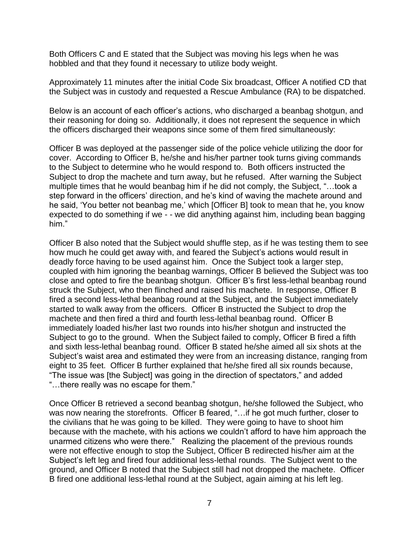Both Officers C and E stated that the Subject was moving his legs when he was hobbled and that they found it necessary to utilize body weight.

Approximately 11 minutes after the initial Code Six broadcast, Officer A notified CD that the Subject was in custody and requested a Rescue Ambulance (RA) to be dispatched.

Below is an account of each officer's actions, who discharged a beanbag shotgun, and their reasoning for doing so. Additionally, it does not represent the sequence in which the officers discharged their weapons since some of them fired simultaneously:

Officer B was deployed at the passenger side of the police vehicle utilizing the door for cover. According to Officer B, he/she and his/her partner took turns giving commands to the Subject to determine who he would respond to. Both officers instructed the Subject to drop the machete and turn away, but he refused. After warning the Subject multiple times that he would beanbag him if he did not comply, the Subject, "…took a step forward in the officers' direction, and he's kind of waving the machete around and he said, 'You better not beanbag me,' which [Officer B] took to mean that he, you know expected to do something if we - - we did anything against him, including bean bagging him."

Officer B also noted that the Subject would shuffle step, as if he was testing them to see how much he could get away with, and feared the Subject's actions would result in deadly force having to be used against him. Once the Subject took a larger step, coupled with him ignoring the beanbag warnings, Officer B believed the Subject was too close and opted to fire the beanbag shotgun. Officer B's first less-lethal beanbag round struck the Subject, who then flinched and raised his machete. In response, Officer B fired a second less-lethal beanbag round at the Subject, and the Subject immediately started to walk away from the officers. Officer B instructed the Subject to drop the machete and then fired a third and fourth less-lethal beanbag round. Officer B immediately loaded his/her last two rounds into his/her shotgun and instructed the Subject to go to the ground. When the Subject failed to comply, Officer B fired a fifth and sixth less-lethal beanbag round. Officer B stated he/she aimed all six shots at the Subject's waist area and estimated they were from an increasing distance, ranging from eight to 35 feet. Officer B further explained that he/she fired all six rounds because, "The issue was [the Subject] was going in the direction of spectators," and added "…there really was no escape for them."

Once Officer B retrieved a second beanbag shotgun, he/she followed the Subject, who was now nearing the storefronts. Officer B feared, "... if he got much further, closer to the civilians that he was going to be killed. They were going to have to shoot him because with the machete, with his actions we couldn't afford to have him approach the unarmed citizens who were there." Realizing the placement of the previous rounds were not effective enough to stop the Subject, Officer B redirected his/her aim at the Subject's left leg and fired four additional less-lethal rounds. The Subject went to the ground, and Officer B noted that the Subject still had not dropped the machete. Officer B fired one additional less-lethal round at the Subject, again aiming at his left leg.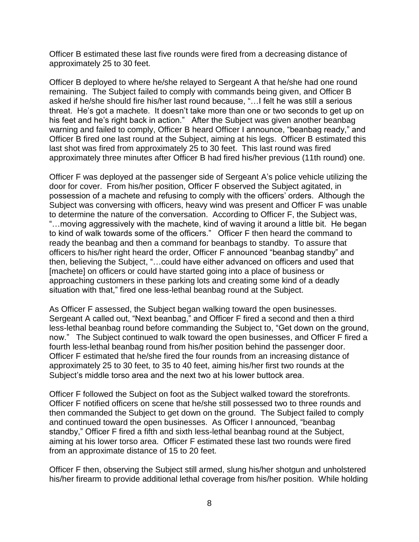Officer B estimated these last five rounds were fired from a decreasing distance of approximately 25 to 30 feet.

Officer B deployed to where he/she relayed to Sergeant A that he/she had one round remaining. The Subject failed to comply with commands being given, and Officer B asked if he/she should fire his/her last round because, "…I felt he was still a serious threat. He's got a machete. It doesn't take more than one or two seconds to get up on his feet and he's right back in action." After the Subject was given another beanbag warning and failed to comply, Officer B heard Officer I announce, "beanbag ready," and Officer B fired one last round at the Subject, aiming at his legs. Officer B estimated this last shot was fired from approximately 25 to 30 feet. This last round was fired approximately three minutes after Officer B had fired his/her previous (11th round) one.

Officer F was deployed at the passenger side of Sergeant A's police vehicle utilizing the door for cover. From his/her position, Officer F observed the Subject agitated, in possession of a machete and refusing to comply with the officers' orders. Although the Subject was conversing with officers, heavy wind was present and Officer F was unable to determine the nature of the conversation. According to Officer F, the Subject was, "…moving aggressively with the machete, kind of waving it around a little bit. He began to kind of walk towards some of the officers." Officer F then heard the command to ready the beanbag and then a command for beanbags to standby. To assure that officers to his/her right heard the order, Officer F announced "beanbag standby" and then, believing the Subject, "…could have either advanced on officers and used that [machete] on officers or could have started going into a place of business or approaching customers in these parking lots and creating some kind of a deadly situation with that," fired one less-lethal beanbag round at the Subject.

As Officer F assessed, the Subject began walking toward the open businesses. Sergeant A called out, "Next beanbag," and Officer F fired a second and then a third less-lethal beanbag round before commanding the Subject to, "Get down on the ground, now." The Subject continued to walk toward the open businesses, and Officer F fired a fourth less-lethal beanbag round from his/her position behind the passenger door. Officer F estimated that he/she fired the four rounds from an increasing distance of approximately 25 to 30 feet, to 35 to 40 feet, aiming his/her first two rounds at the Subject's middle torso area and the next two at his lower buttock area.

Officer F followed the Subject on foot as the Subject walked toward the storefronts. Officer F notified officers on scene that he/she still possessed two to three rounds and then commanded the Subject to get down on the ground. The Subject failed to comply and continued toward the open businesses. As Officer I announced, "beanbag standby," Officer F fired a fifth and sixth less-lethal beanbag round at the Subject, aiming at his lower torso area. Officer F estimated these last two rounds were fired from an approximate distance of 15 to 20 feet.

Officer F then, observing the Subject still armed, slung his/her shotgun and unholstered his/her firearm to provide additional lethal coverage from his/her position. While holding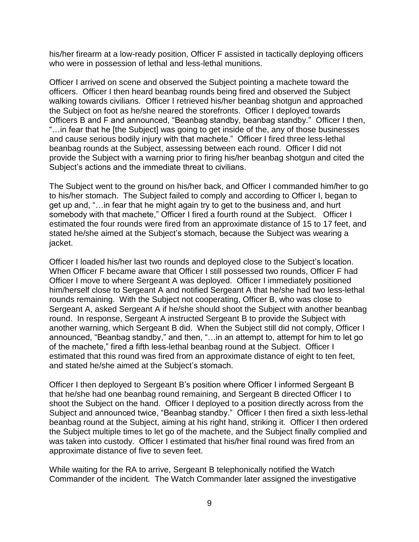his/her firearm at a low-ready position, Officer F assisted in tactically deploying officers who were in possession of lethal and less-lethal munitions.

Officer I arrived on scene and observed the Subject pointing a machete toward the officers. Officer I then heard beanbag rounds being fired and observed the Subject walking towards civilians. Officer I retrieved his/her beanbag shotgun and approached the Subject on foot as he/she neared the storefronts. Officer I deployed towards Officers B and F and announced, "Beanbag standby, beanbag standby." Officer I then, "…in fear that he [the Subject] was going to get inside of the, any of those businesses and cause serious bodily injury with that machete." Officer I fired three less-lethal beanbag rounds at the Subject, assessing between each round. Officer I did not provide the Subject with a warning prior to firing his/her beanbag shotgun and cited the Subject's actions and the immediate threat to civilians.

The Subject went to the ground on his/her back, and Officer I commanded him/her to go to his/her stomach. The Subject failed to comply and according to Officer I, began to get up and, "…in fear that he might again try to get to the business and, and hurt somebody with that machete," Officer I fired a fourth round at the Subject. Officer I estimated the four rounds were fired from an approximate distance of 15 to 17 feet, and stated he/she aimed at the Subject's stomach, because the Subject was wearing a jacket.

Officer I loaded his/her last two rounds and deployed close to the Subject's location. When Officer F became aware that Officer I still possessed two rounds, Officer F had Officer I move to where Sergeant A was deployed. Officer I immediately positioned him/herself close to Sergeant A and notified Sergeant A that he/she had two less-lethal rounds remaining. With the Subject not cooperating, Officer B, who was close to Sergeant A, asked Sergeant A if he/she should shoot the Subject with another beanbag round. In response, Sergeant A instructed Sergeant B to provide the Subject with another warning, which Sergeant B did. When the Subject still did not comply, Officer I announced, "Beanbag standby," and then, "…in an attempt to, attempt for him to let go of the machete," fired a fifth less-lethal beanbag round at the Subject. Officer I estimated that this round was fired from an approximate distance of eight to ten feet, and stated he/she aimed at the Subject's stomach.

Officer I then deployed to Sergeant B's position where Officer I informed Sergeant B that he/she had one beanbag round remaining, and Sergeant B directed Officer I to shoot the Subject on the hand. Officer I deployed to a position directly across from the Subject and announced twice, "Beanbag standby." Officer I then fired a sixth less-lethal beanbag round at the Subject, aiming at his right hand, striking it. Officer I then ordered the Subject multiple times to let go of the machete, and the Subject finally complied and was taken into custody. Officer I estimated that his/her final round was fired from an approximate distance of five to seven feet.

While waiting for the RA to arrive, Sergeant B telephonically notified the Watch Commander of the incident. The Watch Commander later assigned the investigative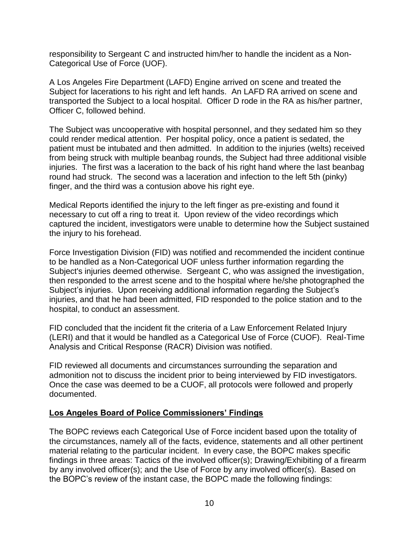responsibility to Sergeant C and instructed him/her to handle the incident as a Non-Categorical Use of Force (UOF).

A Los Angeles Fire Department (LAFD) Engine arrived on scene and treated the Subject for lacerations to his right and left hands. An LAFD RA arrived on scene and transported the Subject to a local hospital. Officer D rode in the RA as his/her partner, Officer C, followed behind.

The Subject was uncooperative with hospital personnel, and they sedated him so they could render medical attention. Per hospital policy, once a patient is sedated, the patient must be intubated and then admitted. In addition to the injuries (welts) received from being struck with multiple beanbag rounds, the Subject had three additional visible injuries. The first was a laceration to the back of his right hand where the last beanbag round had struck. The second was a laceration and infection to the left 5th (pinky) finger, and the third was a contusion above his right eye.

Medical Reports identified the injury to the left finger as pre-existing and found it necessary to cut off a ring to treat it. Upon review of the video recordings which captured the incident, investigators were unable to determine how the Subject sustained the injury to his forehead.

Force Investigation Division (FID) was notified and recommended the incident continue to be handled as a Non-Categorical UOF unless further information regarding the Subject's injuries deemed otherwise. Sergeant C, who was assigned the investigation, then responded to the arrest scene and to the hospital where he/she photographed the Subject's injuries. Upon receiving additional information regarding the Subject's injuries, and that he had been admitted, FID responded to the police station and to the hospital, to conduct an assessment.

FID concluded that the incident fit the criteria of a Law Enforcement Related Injury (LERI) and that it would be handled as a Categorical Use of Force (CUOF). Real-Time Analysis and Critical Response (RACR) Division was notified.

FID reviewed all documents and circumstances surrounding the separation and admonition not to discuss the incident prior to being interviewed by FID investigators. Once the case was deemed to be a CUOF, all protocols were followed and properly documented.

## **Los Angeles Board of Police Commissioners' Findings**

The BOPC reviews each Categorical Use of Force incident based upon the totality of the circumstances, namely all of the facts, evidence, statements and all other pertinent material relating to the particular incident. In every case, the BOPC makes specific findings in three areas: Tactics of the involved officer(s); Drawing/Exhibiting of a firearm by any involved officer(s); and the Use of Force by any involved officer(s). Based on the BOPC's review of the instant case, the BOPC made the following findings: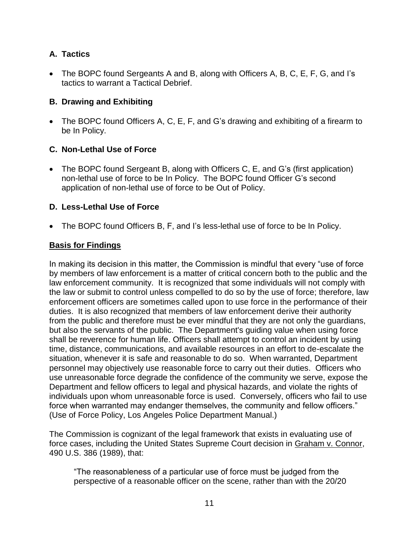# **A. Tactics**

• The BOPC found Sergeants A and B, along with Officers A, B, C, E, F, G, and I's tactics to warrant a Tactical Debrief.

# **B. Drawing and Exhibiting**

• The BOPC found Officers A, C, E, F, and G's drawing and exhibiting of a firearm to be In Policy.

# **C. Non-Lethal Use of Force**

• The BOPC found Sergeant B, along with Officers C, E, and G's (first application) non-lethal use of force to be In Policy. The BOPC found Officer G's second application of non-lethal use of force to be Out of Policy.

# **D. Less-Lethal Use of Force**

• The BOPC found Officers B, F, and I's less-lethal use of force to be In Policy.

# **Basis for Findings**

In making its decision in this matter, the Commission is mindful that every "use of force by members of law enforcement is a matter of critical concern both to the public and the law enforcement community. It is recognized that some individuals will not comply with the law or submit to control unless compelled to do so by the use of force; therefore, law enforcement officers are sometimes called upon to use force in the performance of their duties. It is also recognized that members of law enforcement derive their authority from the public and therefore must be ever mindful that they are not only the guardians, but also the servants of the public. The Department's guiding value when using force shall be reverence for human life. Officers shall attempt to control an incident by using time, distance, communications, and available resources in an effort to de-escalate the situation, whenever it is safe and reasonable to do so. When warranted, Department personnel may objectively use reasonable force to carry out their duties. Officers who use unreasonable force degrade the confidence of the community we serve, expose the Department and fellow officers to legal and physical hazards, and violate the rights of individuals upon whom unreasonable force is used. Conversely, officers who fail to use force when warranted may endanger themselves, the community and fellow officers." (Use of Force Policy, Los Angeles Police Department Manual.)

The Commission is cognizant of the legal framework that exists in evaluating use of force cases, including the United States Supreme Court decision in Graham v. Connor, 490 U.S. 386 (1989), that:

"The reasonableness of a particular use of force must be judged from the perspective of a reasonable officer on the scene, rather than with the 20/20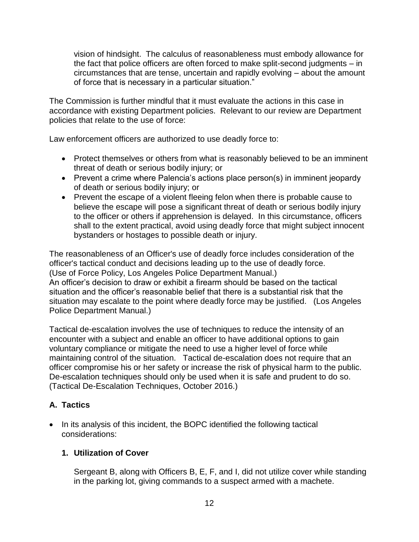vision of hindsight. The calculus of reasonableness must embody allowance for the fact that police officers are often forced to make split-second judgments – in circumstances that are tense, uncertain and rapidly evolving – about the amount of force that is necessary in a particular situation."

The Commission is further mindful that it must evaluate the actions in this case in accordance with existing Department policies. Relevant to our review are Department policies that relate to the use of force:

Law enforcement officers are authorized to use deadly force to:

- Protect themselves or others from what is reasonably believed to be an imminent threat of death or serious bodily injury; or
- Prevent a crime where Palencia's actions place person(s) in imminent jeopardy of death or serious bodily injury; or
- Prevent the escape of a violent fleeing felon when there is probable cause to believe the escape will pose a significant threat of death or serious bodily injury to the officer or others if apprehension is delayed. In this circumstance, officers shall to the extent practical, avoid using deadly force that might subject innocent bystanders or hostages to possible death or injury.

The reasonableness of an Officer's use of deadly force includes consideration of the officer's tactical conduct and decisions leading up to the use of deadly force. (Use of Force Policy, Los Angeles Police Department Manual.) An officer's decision to draw or exhibit a firearm should be based on the tactical situation and the officer's reasonable belief that there is a substantial risk that the situation may escalate to the point where deadly force may be justified. (Los Angeles Police Department Manual.)

Tactical de-escalation involves the use of techniques to reduce the intensity of an encounter with a subject and enable an officer to have additional options to gain voluntary compliance or mitigate the need to use a higher level of force while maintaining control of the situation. Tactical de-escalation does not require that an officer compromise his or her safety or increase the risk of physical harm to the public. De-escalation techniques should only be used when it is safe and prudent to do so. (Tactical De-Escalation Techniques, October 2016.)

# **A. Tactics**

• In its analysis of this incident, the BOPC identified the following tactical considerations:

# **1. Utilization of Cover**

Sergeant B, along with Officers B, E, F, and I, did not utilize cover while standing in the parking lot, giving commands to a suspect armed with a machete.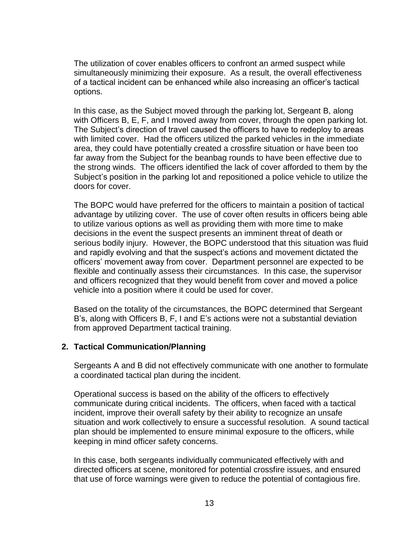The utilization of cover enables officers to confront an armed suspect while simultaneously minimizing their exposure. As a result, the overall effectiveness of a tactical incident can be enhanced while also increasing an officer's tactical options.

In this case, as the Subject moved through the parking lot, Sergeant B, along with Officers B, E, F, and I moved away from cover, through the open parking lot. The Subject's direction of travel caused the officers to have to redeploy to areas with limited cover. Had the officers utilized the parked vehicles in the immediate area, they could have potentially created a crossfire situation or have been too far away from the Subject for the beanbag rounds to have been effective due to the strong winds. The officers identified the lack of cover afforded to them by the Subject's position in the parking lot and repositioned a police vehicle to utilize the doors for cover.

The BOPC would have preferred for the officers to maintain a position of tactical advantage by utilizing cover. The use of cover often results in officers being able to utilize various options as well as providing them with more time to make decisions in the event the suspect presents an imminent threat of death or serious bodily injury. However, the BOPC understood that this situation was fluid and rapidly evolving and that the suspect's actions and movement dictated the officers' movement away from cover. Department personnel are expected to be flexible and continually assess their circumstances. In this case, the supervisor and officers recognized that they would benefit from cover and moved a police vehicle into a position where it could be used for cover.

Based on the totality of the circumstances, the BOPC determined that Sergeant B's, along with Officers B, F, I and E's actions were not a substantial deviation from approved Department tactical training.

## **2. Tactical Communication/Planning**

Sergeants A and B did not effectively communicate with one another to formulate a coordinated tactical plan during the incident.

Operational success is based on the ability of the officers to effectively communicate during critical incidents. The officers, when faced with a tactical incident, improve their overall safety by their ability to recognize an unsafe situation and work collectively to ensure a successful resolution. A sound tactical plan should be implemented to ensure minimal exposure to the officers, while keeping in mind officer safety concerns.

In this case, both sergeants individually communicated effectively with and directed officers at scene, monitored for potential crossfire issues, and ensured that use of force warnings were given to reduce the potential of contagious fire.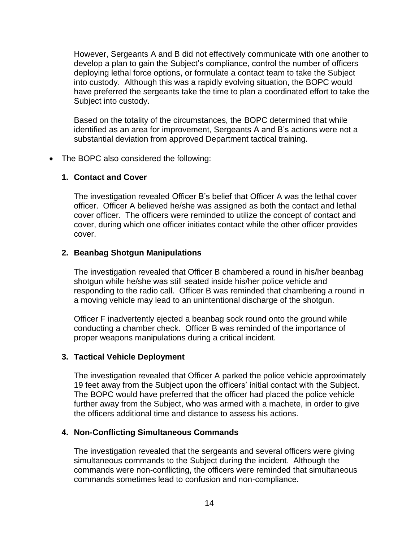However, Sergeants A and B did not effectively communicate with one another to develop a plan to gain the Subject's compliance, control the number of officers deploying lethal force options, or formulate a contact team to take the Subject into custody. Although this was a rapidly evolving situation, the BOPC would have preferred the sergeants take the time to plan a coordinated effort to take the Subject into custody.

Based on the totality of the circumstances, the BOPC determined that while identified as an area for improvement, Sergeants A and B's actions were not a substantial deviation from approved Department tactical training.

• The BOPC also considered the following:

## **1. Contact and Cover**

The investigation revealed Officer B's belief that Officer A was the lethal cover officer. Officer A believed he/she was assigned as both the contact and lethal cover officer. The officers were reminded to utilize the concept of contact and cover, during which one officer initiates contact while the other officer provides cover.

#### **2. Beanbag Shotgun Manipulations**

The investigation revealed that Officer B chambered a round in his/her beanbag shotgun while he/she was still seated inside his/her police vehicle and responding to the radio call. Officer B was reminded that chambering a round in a moving vehicle may lead to an unintentional discharge of the shotgun.

Officer F inadvertently ejected a beanbag sock round onto the ground while conducting a chamber check. Officer B was reminded of the importance of proper weapons manipulations during a critical incident.

#### **3. Tactical Vehicle Deployment**

The investigation revealed that Officer A parked the police vehicle approximately 19 feet away from the Subject upon the officers' initial contact with the Subject. The BOPC would have preferred that the officer had placed the police vehicle further away from the Subject, who was armed with a machete, in order to give the officers additional time and distance to assess his actions.

#### **4. Non-Conflicting Simultaneous Commands**

The investigation revealed that the sergeants and several officers were giving simultaneous commands to the Subject during the incident. Although the commands were non-conflicting, the officers were reminded that simultaneous commands sometimes lead to confusion and non-compliance.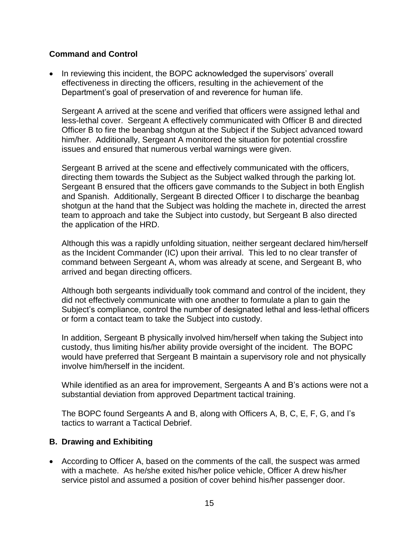# **Command and Control**

• In reviewing this incident, the BOPC acknowledged the supervisors' overall effectiveness in directing the officers, resulting in the achievement of the Department's goal of preservation of and reverence for human life.

Sergeant A arrived at the scene and verified that officers were assigned lethal and less-lethal cover. Sergeant A effectively communicated with Officer B and directed Officer B to fire the beanbag shotgun at the Subject if the Subject advanced toward him/her. Additionally, Sergeant A monitored the situation for potential crossfire issues and ensured that numerous verbal warnings were given.

Sergeant B arrived at the scene and effectively communicated with the officers, directing them towards the Subject as the Subject walked through the parking lot. Sergeant B ensured that the officers gave commands to the Subject in both English and Spanish. Additionally, Sergeant B directed Officer I to discharge the beanbag shotgun at the hand that the Subject was holding the machete in, directed the arrest team to approach and take the Subject into custody, but Sergeant B also directed the application of the HRD.

Although this was a rapidly unfolding situation, neither sergeant declared him/herself as the Incident Commander (IC) upon their arrival. This led to no clear transfer of command between Sergeant A, whom was already at scene, and Sergeant B, who arrived and began directing officers.

Although both sergeants individually took command and control of the incident, they did not effectively communicate with one another to formulate a plan to gain the Subject's compliance, control the number of designated lethal and less-lethal officers or form a contact team to take the Subject into custody.

In addition, Sergeant B physically involved him/herself when taking the Subject into custody, thus limiting his/her ability provide oversight of the incident. The BOPC would have preferred that Sergeant B maintain a supervisory role and not physically involve him/herself in the incident.

While identified as an area for improvement, Sergeants A and B's actions were not a substantial deviation from approved Department tactical training.

The BOPC found Sergeants A and B, along with Officers A, B, C, E, F, G, and I's tactics to warrant a Tactical Debrief.

# **B. Drawing and Exhibiting**

• According to Officer A, based on the comments of the call, the suspect was armed with a machete. As he/she exited his/her police vehicle, Officer A drew his/her service pistol and assumed a position of cover behind his/her passenger door.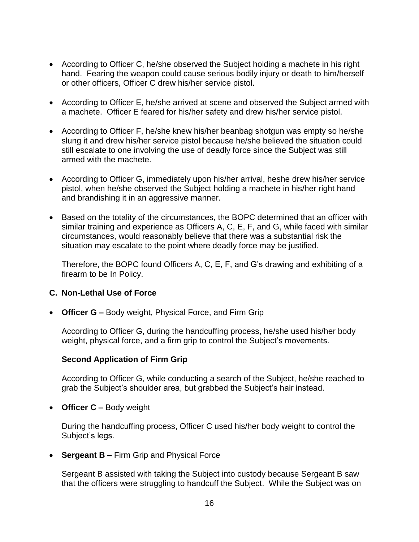- According to Officer C, he/she observed the Subject holding a machete in his right hand. Fearing the weapon could cause serious bodily injury or death to him/herself or other officers, Officer C drew his/her service pistol.
- According to Officer E, he/she arrived at scene and observed the Subject armed with a machete. Officer E feared for his/her safety and drew his/her service pistol.
- According to Officer F, he/she knew his/her beanbag shotgun was empty so he/she slung it and drew his/her service pistol because he/she believed the situation could still escalate to one involving the use of deadly force since the Subject was still armed with the machete.
- According to Officer G, immediately upon his/her arrival, heshe drew his/her service pistol, when he/she observed the Subject holding a machete in his/her right hand and brandishing it in an aggressive manner.
- Based on the totality of the circumstances, the BOPC determined that an officer with similar training and experience as Officers A, C, E, F, and G, while faced with similar circumstances, would reasonably believe that there was a substantial risk the situation may escalate to the point where deadly force may be justified.

Therefore, the BOPC found Officers A, C, E, F, and G's drawing and exhibiting of a firearm to be In Policy.

## **C. Non-Lethal Use of Force**

• **Officer G –** Body weight, Physical Force, and Firm Grip

According to Officer G, during the handcuffing process, he/she used his/her body weight, physical force, and a firm grip to control the Subject's movements.

## **Second Application of Firm Grip**

According to Officer G, while conducting a search of the Subject, he/she reached to grab the Subject's shoulder area, but grabbed the Subject's hair instead.

• **Officer C –** Body weight

During the handcuffing process, Officer C used his/her body weight to control the Subject's legs.

• **Sergeant B –** Firm Grip and Physical Force

Sergeant B assisted with taking the Subject into custody because Sergeant B saw that the officers were struggling to handcuff the Subject. While the Subject was on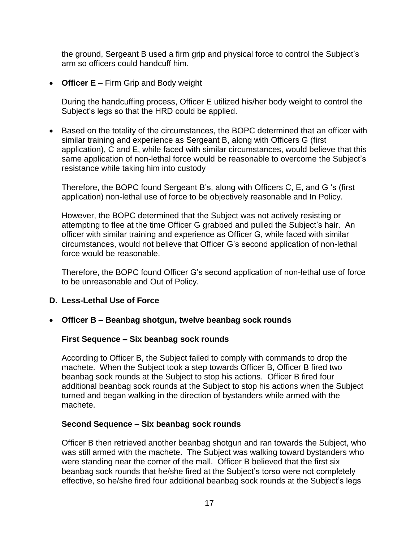the ground, Sergeant B used a firm grip and physical force to control the Subject's arm so officers could handcuff him.

• **Officer E** – Firm Grip and Body weight

During the handcuffing process, Officer E utilized his/her body weight to control the Subject's legs so that the HRD could be applied.

• Based on the totality of the circumstances, the BOPC determined that an officer with similar training and experience as Sergeant B, along with Officers G (first application), C and E, while faced with similar circumstances, would believe that this same application of non-lethal force would be reasonable to overcome the Subject's resistance while taking him into custody

Therefore, the BOPC found Sergeant B's, along with Officers C, E, and G 's (first application) non-lethal use of force to be objectively reasonable and In Policy.

However, the BOPC determined that the Subject was not actively resisting or attempting to flee at the time Officer G grabbed and pulled the Subject's hair. An officer with similar training and experience as Officer G, while faced with similar circumstances, would not believe that Officer G's second application of non-lethal force would be reasonable.

Therefore, the BOPC found Officer G's second application of non-lethal use of force to be unreasonable and Out of Policy.

## **D. Less-Lethal Use of Force**

• **Officer B – Beanbag shotgun, twelve beanbag sock rounds**

## **First Sequence – Six beanbag sock rounds**

According to Officer B, the Subject failed to comply with commands to drop the machete. When the Subject took a step towards Officer B, Officer B fired two beanbag sock rounds at the Subject to stop his actions. Officer B fired four additional beanbag sock rounds at the Subject to stop his actions when the Subject turned and began walking in the direction of bystanders while armed with the machete.

## **Second Sequence – Six beanbag sock rounds**

Officer B then retrieved another beanbag shotgun and ran towards the Subject, who was still armed with the machete. The Subject was walking toward bystanders who were standing near the corner of the mall. Officer B believed that the first six beanbag sock rounds that he/she fired at the Subject's torso were not completely effective, so he/she fired four additional beanbag sock rounds at the Subject's legs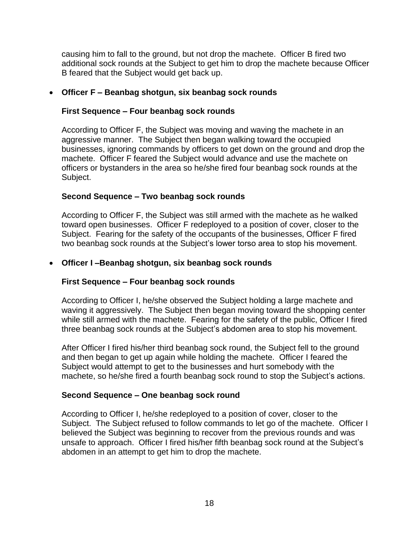causing him to fall to the ground, but not drop the machete. Officer B fired two additional sock rounds at the Subject to get him to drop the machete because Officer B feared that the Subject would get back up.

# • **Officer F – Beanbag shotgun, six beanbag sock rounds**

# **First Sequence – Four beanbag sock rounds**

According to Officer F, the Subject was moving and waving the machete in an aggressive manner. The Subject then began walking toward the occupied businesses, ignoring commands by officers to get down on the ground and drop the machete. Officer F feared the Subject would advance and use the machete on officers or bystanders in the area so he/she fired four beanbag sock rounds at the Subject.

# **Second Sequence – Two beanbag sock rounds**

According to Officer F, the Subject was still armed with the machete as he walked toward open businesses. Officer F redeployed to a position of cover, closer to the Subject. Fearing for the safety of the occupants of the businesses, Officer F fired two beanbag sock rounds at the Subject's lower torso area to stop his movement.

# • **Officer I –Beanbag shotgun, six beanbag sock rounds**

## **First Sequence – Four beanbag sock rounds**

According to Officer I, he/she observed the Subject holding a large machete and waving it aggressively. The Subject then began moving toward the shopping center while still armed with the machete. Fearing for the safety of the public, Officer I fired three beanbag sock rounds at the Subject's abdomen area to stop his movement.

After Officer I fired his/her third beanbag sock round, the Subject fell to the ground and then began to get up again while holding the machete. Officer I feared the Subject would attempt to get to the businesses and hurt somebody with the machete, so he/she fired a fourth beanbag sock round to stop the Subject's actions.

# **Second Sequence – One beanbag sock round**

According to Officer I, he/she redeployed to a position of cover, closer to the Subject. The Subject refused to follow commands to let go of the machete. Officer I believed the Subject was beginning to recover from the previous rounds and was unsafe to approach. Officer I fired his/her fifth beanbag sock round at the Subject's abdomen in an attempt to get him to drop the machete.